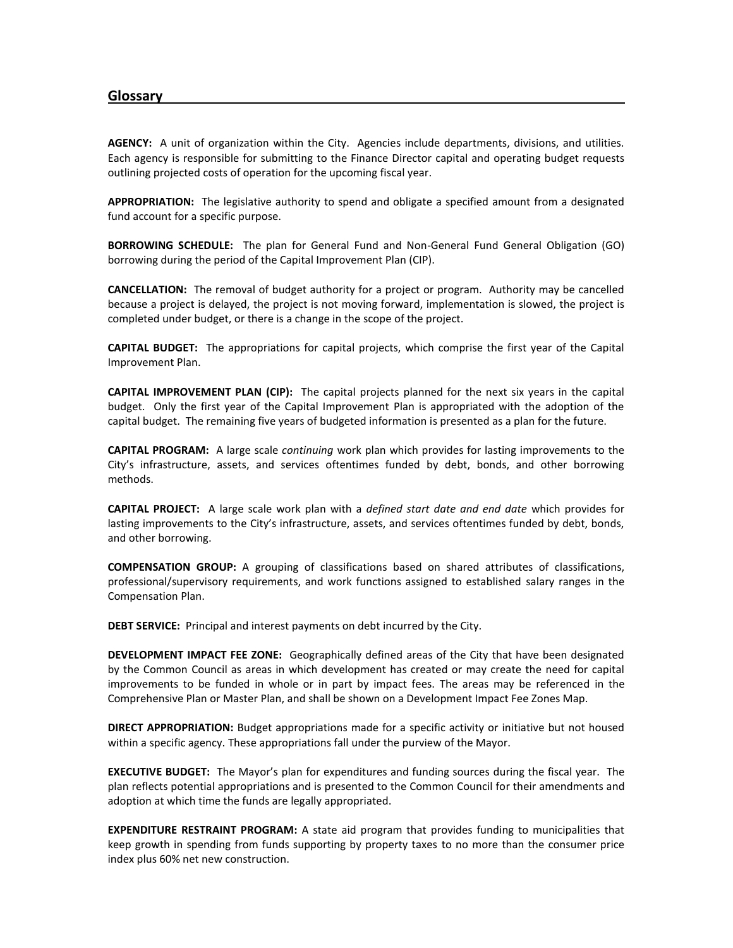## **Glossary**

**AGENCY:** A unit of organization within the City. Agencies include departments, divisions, and utilities. Each agency is responsible for submitting to the Finance Director capital and operating budget requests outlining projected costs of operation for the upcoming fiscal year.

**APPROPRIATION:** The legislative authority to spend and obligate a specified amount from a designated fund account for a specific purpose.

**BORROWING SCHEDULE:** The plan for General Fund and Non-General Fund General Obligation (GO) borrowing during the period of the Capital Improvement Plan (CIP).

**CANCELLATION:** The removal of budget authority for a project or program. Authority may be cancelled because a project is delayed, the project is not moving forward, implementation is slowed, the project is completed under budget, or there is a change in the scope of the project.

**CAPITAL BUDGET:** The appropriations for capital projects, which comprise the first year of the Capital Improvement Plan.

**CAPITAL IMPROVEMENT PLAN (CIP):** The capital projects planned for the next six years in the capital budget. Only the first year of the Capital Improvement Plan is appropriated with the adoption of the capital budget. The remaining five years of budgeted information is presented as a plan for the future.

**CAPITAL PROGRAM:** A large scale *continuing* work plan which provides for lasting improvements to the City's infrastructure, assets, and services oftentimes funded by debt, bonds, and other borrowing methods.

**CAPITAL PROJECT:** A large scale work plan with a *defined start date and end date* which provides for lasting improvements to the City's infrastructure, assets, and services oftentimes funded by debt, bonds, and other borrowing.

**COMPENSATION GROUP:** A grouping of classifications based on shared attributes of classifications, professional/supervisory requirements, and work functions assigned to established salary ranges in the Compensation Plan.

**DEBT SERVICE:** Principal and interest payments on debt incurred by the City.

**DEVELOPMENT IMPACT FEE ZONE:** Geographically defined areas of the City that have been designated by the Common Council as areas in which development has created or may create the need for capital improvements to be funded in whole or in part by impact fees. The areas may be referenced in the Comprehensive Plan or Master Plan, and shall be shown on a Development Impact Fee Zones Map.

**DIRECT APPROPRIATION:** Budget appropriations made for a specific activity or initiative but not housed within a specific agency. These appropriations fall under the purview of the Mayor.

**EXECUTIVE BUDGET:** The Mayor's plan for expenditures and funding sources during the fiscal year. The plan reflects potential appropriations and is presented to the Common Council for their amendments and adoption at which time the funds are legally appropriated.

**EXPENDITURE RESTRAINT PROGRAM:** A state aid program that provides funding to municipalities that keep growth in spending from funds supporting by property taxes to no more than the consumer price index plus 60% net new construction.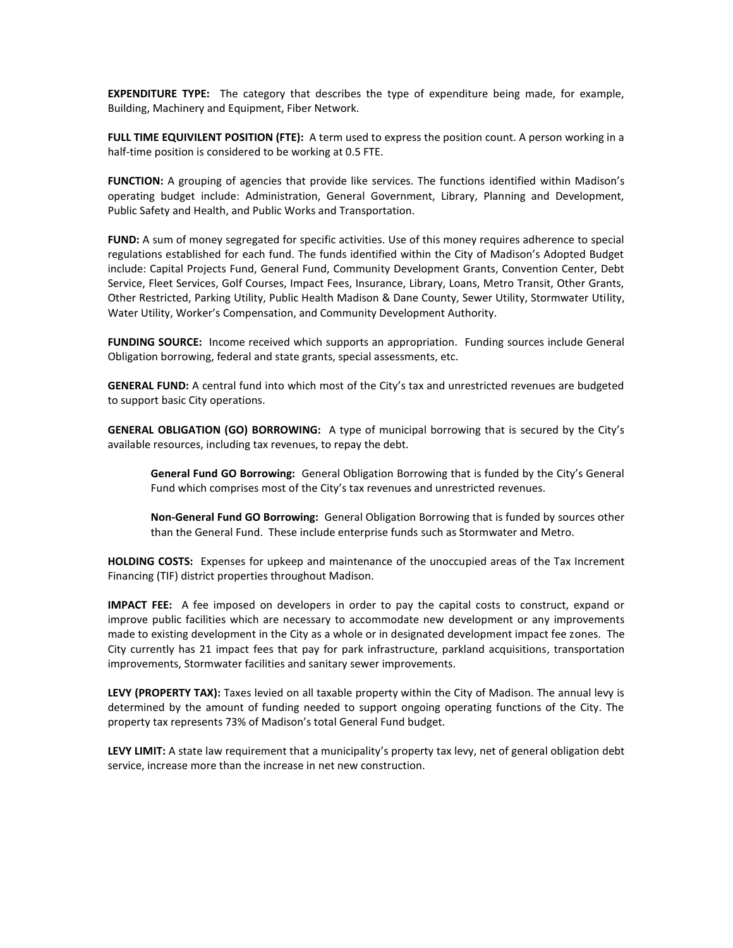**EXPENDITURE TYPE:** The category that describes the type of expenditure being made, for example, Building, Machinery and Equipment, Fiber Network.

**FULL TIME EQUIVILENT POSITION (FTE):** A term used to express the position count. A person working in a half-time position is considered to be working at 0.5 FTE.

**FUNCTION:** A grouping of agencies that provide like services. The functions identified within Madison's operating budget include: Administration, General Government, Library, Planning and Development, Public Safety and Health, and Public Works and Transportation.

**FUND:** A sum of money segregated for specific activities. Use of this money requires adherence to special regulations established for each fund. The funds identified within the City of Madison's Adopted Budget include: Capital Projects Fund, General Fund, Community Development Grants, Convention Center, Debt Service, Fleet Services, Golf Courses, Impact Fees, Insurance, Library, Loans, Metro Transit, Other Grants, Other Restricted, Parking Utility, Public Health Madison & Dane County, Sewer Utility, Stormwater Utility, Water Utility, Worker's Compensation, and Community Development Authority.

**FUNDING SOURCE:** Income received which supports an appropriation. Funding sources include General Obligation borrowing, federal and state grants, special assessments, etc.

**GENERAL FUND:** A central fund into which most of the City's tax and unrestricted revenues are budgeted to support basic City operations.

**GENERAL OBLIGATION (GO) BORROWING:** A type of municipal borrowing that is secured by the City's available resources, including tax revenues, to repay the debt.

**General Fund GO Borrowing:** General Obligation Borrowing that is funded by the City's General Fund which comprises most of the City's tax revenues and unrestricted revenues.

**Non-General Fund GO Borrowing:** General Obligation Borrowing that is funded by sources other than the General Fund. These include enterprise funds such as Stormwater and Metro.

**HOLDING COSTS:** Expenses for upkeep and maintenance of the unoccupied areas of the Tax Increment Financing (TIF) district properties throughout Madison.

**IMPACT FEE:** A fee imposed on developers in order to pay the capital costs to construct, expand or improve public facilities which are necessary to accommodate new development or any improvements made to existing development in the City as a whole or in designated development impact fee zones. The City currently has 21 impact fees that pay for park infrastructure, parkland acquisitions, transportation improvements, Stormwater facilities and sanitary sewer improvements.

**LEVY (PROPERTY TAX):** Taxes levied on all taxable property within the City of Madison. The annual levy is determined by the amount of funding needed to support ongoing operating functions of the City. The property tax represents 73% of Madison's total General Fund budget.

**LEVY LIMIT:** A state law requirement that a municipality's property tax levy, net of general obligation debt service, increase more than the increase in net new construction.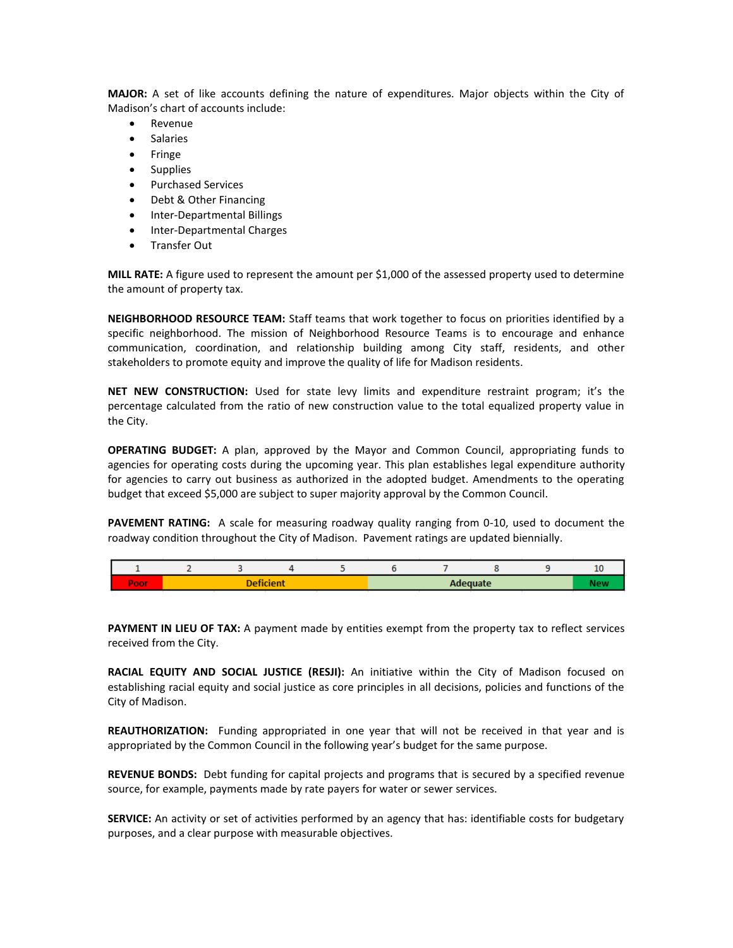**MAJOR:** A set of like accounts defining the nature of expenditures. Major objects within the City of Madison's chart of accounts include:

- Revenue
- Salaries
- Fringe
- Supplies
- **•** Purchased Services
- Debt & Other Financing
- Inter-Departmental Billings
- Inter-Departmental Charges
- Transfer Out

**MILL RATE:** A figure used to represent the amount per \$1,000 of the assessed property used to determine the amount of property tax.

**NEIGHBORHOOD RESOURCE TEAM:** Staff teams that work together to focus on priorities identified by a specific neighborhood. The mission of Neighborhood Resource Teams is to encourage and enhance communication, coordination, and relationship building among City staff, residents, and other stakeholders to promote equity and improve the quality of life for Madison residents.

**NET NEW CONSTRUCTION:** Used for state levy limits and expenditure restraint program; it's the percentage calculated from the ratio of new construction value to the total equalized property value in the City.

**OPERATING BUDGET:** A plan, approved by the Mayor and Common Council, appropriating funds to agencies for operating costs during the upcoming year. This plan establishes legal expenditure authority for agencies to carry out business as authorized in the adopted budget. Amendments to the operating budget that exceed \$5,000 are subject to super majority approval by the Common Council.

**PAVEMENT RATING:** A scale for measuring roadway quality ranging from 0-10, used to document the roadway condition throughout the City of Madison. Pavement ratings are updated biennially.

| Poor | <b>Deficient</b><br>enuenu |  |  |  | Adonuat.<br>uate<br>$-111 - 17$ |  |  |  |  |
|------|----------------------------|--|--|--|---------------------------------|--|--|--|--|

**PAYMENT IN LIEU OF TAX:** A payment made by entities exempt from the property tax to reflect services received from the City.

**RACIAL EQUITY AND SOCIAL JUSTICE (RESJI):** An initiative within the City of Madison focused on establishing racial equity and social justice as core principles in all decisions, policies and functions of the City of Madison.

**REAUTHORIZATION:** Funding appropriated in one year that will not be received in that year and is appropriated by the Common Council in the following year's budget for the same purpose.

**REVENUE BONDS:** Debt funding for capital projects and programs that is secured by a specified revenue source, for example, payments made by rate payers for water or sewer services.

**SERVICE:** An activity or set of activities performed by an agency that has: identifiable costs for budgetary purposes, and a clear purpose with measurable objectives.